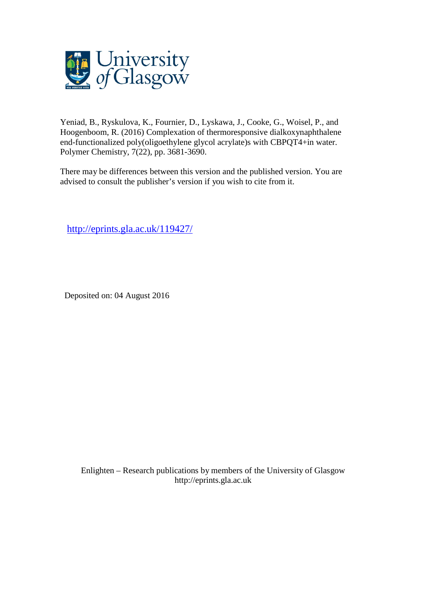

Yeniad, B., Ryskulova, K., Fournier, D., Lyskawa, J., Cooke, G., Woisel, P., and Hoogenboom, R. (2016) Complexation of thermoresponsive dialkoxynaphthalene end-functionalized poly(oligoethylene glycol acrylate)s with CBPQT4+in water. Polymer Chemistry, 7(22), pp. 3681-3690.

There may be differences between this version and the published version. You are advised to consult the publisher's version if you wish to cite from it.

<http://eprints.gla.ac.uk/119427/>

Deposited on: 04 August 2016

Enlighten – Research publications by members of the University of Glasgo[w](http://eprints.gla.ac.uk/) [http://eprints.gla.ac.uk](http://eprints.gla.ac.uk/)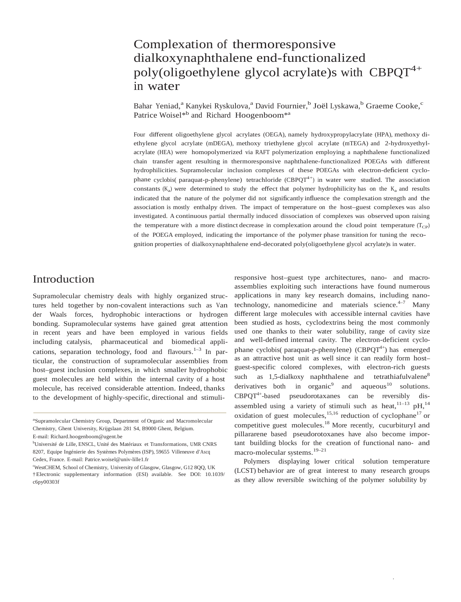# Complexation of thermoresponsive dialkoxynaphthalene end-functionalized poly(oligoethylene glycol acrylate)s with  $CBPOT^{4+}$ in water

Bahar Yeniad,<sup>a</sup> Kanykei Ryskulova,<sup>a</sup> David Fournier,<sup>b</sup> Joël Lyskawa,<sup>b</sup> Graeme Cooke,<sup>c</sup> Patrice Woisel<sup>\*b</sup> and Richard Hoogenboom<sup>\*a</sup>

Four different oligoethylene glycol acrylates (OEGA), namely hydroxypropylacrylate (HPA), methoxy diethylene glycol acrylate (mDEGA), methoxy triethylene glycol acrylate (mTEGA) and 2-hydroxyethylacrylate (HEA) were homopolymerized via RAFT polymerization employing a naphthalene functionalized chain transfer agent resulting in thermoresponsive naphthalene-functionalized POEGAs with different hydrophilicities. Supramolecular inclusion complexes of these POEGAs with electron-deficient cyclophane cyclobis(paraquat-p-phenylene) tetrachloride (CBPQT<sup>4+</sup>) in water were studied. The association constants  $(K<sub>a</sub>)$  were determined to study the effect that polymer hydrophilicity has on the  $K<sub>a</sub>$  and results indicated that the nature of the polymer did not significantly influence the complexation strength and the association is mostly enthalpy driven. The impact of temperature on the host–guest complexes was also investigated. A continuous partial thermally induced dissociation of complexes was observed upon raising the temperature with a more distinct decrease in complexation around the cloud point temperature  $(T_{CP})$ of the POEGA employed, indicating the importance of the polymer phase transition for tuning the recognition properties of dialkoxynaphthalene end-decorated poly(oligoethylene glycol acrylate)s in water.

## Introduction

Supramolecular chemistry deals with highly organized structures held together by non-covalent interactions such as Van der Waals forces, hydrophobic interactions or hydrogen bonding. Supramolecular systems have gained great attention in recent years and have been employed in various fields including catalysis, pharmaceutical and biomedical applications, separation technology, food and flavours. $1-3$  In particular, the construction of supramolecular assemblies from host–guest inclusion complexes, in which smaller hydrophobic guest molecules are held within the internal cavity of a host molecule, has received considerable attention. Indeed, thanks to the development of highly-specific, directional and stimuli-

b Université de Lille, ENSCL, Unité des Matériaux et Transformations, UMR CNRS 8207, Equipe Ingénierie des Systèmes Polymères (ISP), 59655 Villeneuve d'Ascq Cedex, France. E-mail: [Patrice.woisel@univ-lille1.fr](mailto:Patrice.woisel@univ-lille1.fr)

responsive host–guest type architectures, nano- and macroassemblies exploiting such interactions have found numerous applications in many key research domains, including nanotechnology, nanomedicine and materials science. $4-7$  Many different large molecules with accessible internal cavities have been studied as hosts, cyclodextrins being the most commonly used one thanks to their water solubility, range of cavity size and well-defined internal cavity. The electron-deficient cyclophane cyclobis(paraquat-p-phenylene) (CBPQT<sup>4+</sup>) has emerged as an attractive host unit as well since it can readily form host– guest-specific colored complexes, with electron-rich guests such as  $1,5$ -dialkoxy naphthalene and tetrathiafulvalene<sup>8</sup> derivatives both in organic<sup>9</sup> and aqueous<sup>10</sup> solutions.  $CBPOT<sup>4+</sup>$ -based pseudorotaxanes can be reversibly disassembled using a variety of stimuli such as heat,  $11-13$  pH,  $14$ oxidation of guest molecules,<sup>15,16</sup> reduction of cyclophane<sup>17</sup> or competitive guest molecules.<sup>18</sup> More recently, cucurbituryl and pillararene based pseudorotoxanes have also become important building blocks for the creation of functional nano- and macro-molecular systems. 19–21

Polymers displaying lower critical solution temperature (LCST) behavior are of great interest to many research groups as they allow reversible switching of the polymer solubility by

<sup>&</sup>lt;sup>a</sup>Supramolecular Chemistry Group, Department of Organic and Macromolecular Chemistry, Ghent University, Krijgslaan 281 S4, B9000 Ghent, Belgium. E-mail: [Richard.hoogenboom@ugent.be](mailto:Richard.hoogenboom@ugent.be)

c WestCHEM, School of Chemistry, University of Glasgow, Glasgow, G12 8QQ, UK †Electronic supplementary information (ESI) available. See DOI: 10.1039/ c6py00303f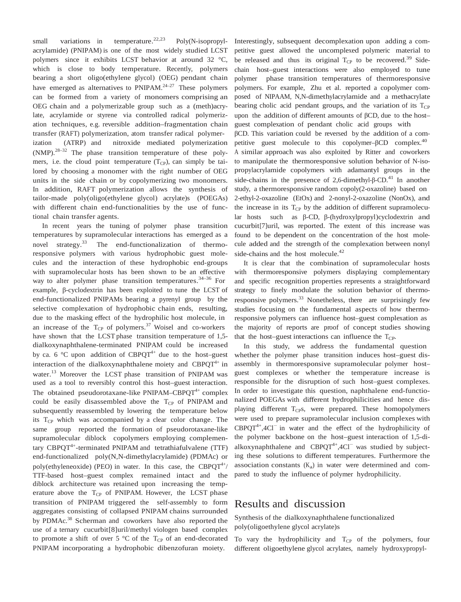small variations in temperature.<sup>22,23</sup> Poly(N-isopropylacrylamide) (PNIPAM) is one of the most widely studied LCST polymers since it exhibits LCST behavior at around 32 °C, which is close to body temperature. Recently, polymers bearing a short oligo(ethylene glycol) (OEG) pendant chain have emerged as alternatives to  $PNIPAM.<sup>24-27</sup>$  These polymers can be formed from a variety of monomers comprising an OEG chain and a polymerizable group such as a (meth)acrylate, acrylamide or styrene via controlled radical polymerization techniques, e.g. reversible addition–fragmentation chain transfer (RAFT) polymerization, atom transfer radical polymerization (ATRP) and nitroxide mediated polymerization (NMP).28–32 The phase transition temperature of these polymers, i.e. the cloud point temperature  $(T_{CP})$ , can simply be tailored by choosing a monomer with the right number of OEG units in the side chain or by copolymerizing two monomers. In addition, RAFT polymerization allows the synthesis of tailor-made poly(oligo(ethylene glycol) acrylate)s (POEGAs) with different chain end-functionalities by the use of functional chain transfer agents.

In recent years the tuning of polymer phase transition temperatures by supramolecular interactions has emerged as a novel strategy.<sup>33</sup> The end-functionalization of thermoresponsive polymers with various hydrophobic guest molecules and the interaction of these hydrophobic end-groups with supramolecular hosts has been shown to be an effective way to alter polymer phase transition temperatures.<sup>34-36</sup> For example, β-cyclodextrin has been exploited to tune the LCST of end-functionalized PNIPAMs bearing a pyrenyl group by the selective complexation of hydrophobic chain ends, resulting, due to the masking effect of the hydrophilic host molecule, in an increase of the  $T_{CP}$  of polymers.<sup>37</sup> Woisel and co-workers have shown that the LCST phase transition temperature of 1,5 dialkoxynaphthalene-terminated PNIPAM could be increased by ca. 6 °C upon addition of CBPQT<sup>4+</sup> due to the host–guest interaction of the dialkoxynaphthalene moiety and CBPQ $T^{4+}$  in water.<sup>13</sup> Moreover the LCST phase transition of PNIPAM was used as a tool to reversibly control this host–guest interaction. The obtained pseudorotaxane-like  $PNIPAM–CBPQT<sup>4+</sup>$  complex could be easily disassembled above the  $T_{CP}$  of PNIPAM and subsequently reassembled by lowering the temperature below its  $T_{CP}$  which was accompanied by a clear color change. The same group reported the formation of pseudorotaxane-like supramolecular diblock copolymers employing complementary  $CBPQT^{4+}$ -terminated PNIPAM and tetrathiafulvalene (TTF) end-functionalized poly(N,N-dimethylacrylamide) (PDMAc) or poly(ethyleneoxide) (PEO) in water. In this case, the CBPQ $T^{4+}$ / TTF-based host–guest complex remained intact and the diblock architecture was retained upon increasing the temperature above the  $T_{CP}$  of PNIPAM. However, the LCST phase transition of PNIPAM triggered the self-assembly to form aggregates consisting of collapsed PNIPAM chains surrounded by PDMAc.<sup>38</sup> Scherman and coworkers have also reported the use of a ternary cucurbit[8]uril/methyl viologen based complex to promote a shift of over 5  $\degree$ C of the T<sub>CP</sub> of an end-decorated PNIPAM incorporating a hydrophobic dibenzofuran moiety.

Interestingly, subsequent decomplexation upon adding a competitive guest allowed the uncomplexed polymeric material to be released and thus its original  $T_{CP}$  to be recovered.<sup>39</sup> Sidechain host–guest interactions were also employed to tune polymer phase transition temperatures of thermoresponsive polymers. For example, Zhu et al. reported a copolymer composed of NIPAAM, N,N-dimethylacrylamide and a methacrylate bearing cholic acid pendant groups, and the variation of its  $T_{CP}$ upon the addition of different amounts of βCD, due to the host– guest complexation of pendant cholic acid groups with

βCD. This variation could be reversed by the addition of a competitive guest molecule to this copolymer-βCD complex.<sup>40</sup> A similar approach was also exploited by Ritter and coworkers to manipulate the thermoresponsive solution behavior of N-isopropylacrylamide copolymers with adamantyl groups in the side-chains in the presence of 2,6-dimethyl-β-CD.<sup>41</sup> In another study, a thermoresponsive random copoly(2-oxazoline) based on 2-ethyl-2-oxazoline (EtOx) and 2-nonyl-2-oxazoline (NonOx), and the increase in its  $T_{CP}$  by the addition of different supramolecular hosts such as β-CD, β-(hydroxylpropyl)cyclodextrin and cucurbit[7]uril, was reported. The extent of this increase was found to be dependent on the concentration of the host molecule added and the strength of the complexation between nonyl side-chains and the host molecule. 42

It is clear that the combination of supramolecular hosts with thermoresponsive polymers displaying complementary and specific recognition properties represents a straightforward strategy to finely modulate the solution behavior of thermoresponsive polymers. <sup>33</sup> Nonetheless, there are surprisingly few studies focusing on the fundamental aspects of how thermoresponsive polymers can influence host–guest complexation as the majority of reports are proof of concept studies showing that the host–guest interactions can influence the  $T_{CP}$ .

In this study, we address the fundamental question whether the polymer phase transition induces host–guest disassembly in thermoresponsive supramolecular polymer host– guest complexes or whether the temperature increase is responsible for the disruption of such host–guest complexes. In order to investigate this question, naphthalene end-functionalized POEGAs with different hydrophilicities and hence displaying different  $T_{CP}$ s, were prepared. These homopolymers were used to prepare supramolecular inclusion complexes with CBPQT4+,4Cl<sup>−</sup> in water and the effect of the hydrophilicity of the polymer backbone on the host–guest interaction of 1,5-dialkoxynaphthalene and  $CBPQT^{4+}$ ,4Cl<sup>−</sup> was studied by subjecting these solutions to different temperatures. Furthermore the association constants  $(K_a)$  in water were determined and compared to study the influence of polymer hydrophilicity.

### Results and discussion

Synthesis of the dialkoxynaphthalene functionalized poly(oligoethylene glycol acrylate)s

To vary the hydrophilicity and  $T_{CP}$  of the polymers, four different oligoethylene glycol acrylates, namely hydroxypropyl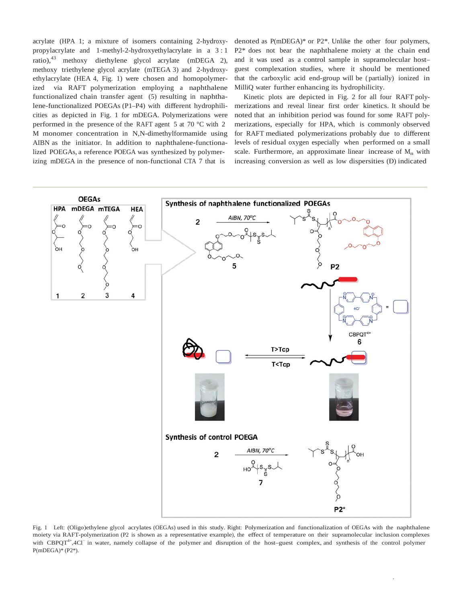acrylate (HPA 1; a mixture of isomers containing 2-hydroxypropylacrylate and 1-methyl-2-hydroxyethylacrylate in a 3 : 1 ratio),<sup>43</sup> methoxy diethylene glycol acrylate (mDEGA 2), methoxy triethylene glycol acrylate (mTEGA 3) and 2-hydroxyethylacrylate (HEA 4, Fig. 1) were chosen and homopolymerized via RAFT polymerization employing a naphthalene functionalized chain transfer agent (5) resulting in naphthalene-functionalized POEGAs (P1–P4) with different hydrophilicities as depicted in Fig. 1 for mDEGA. Polymerizations were performed in the presence of the RAFT agent 5 at 70 °C with 2 M monomer concentration in N,N-dimethylformamide using AIBN as the initiator. In addition to naphthalene-functionalized POEGAs, a reference POEGA was synthesized by polymerizing mDEGA in the presence of non-functional CTA 7 that is

denoted as P(mDEGA)\* or P2\*. Unlike the other four polymers, P2\* does not bear the naphthalene moiety at the chain end and it was used as a control sample in supramolecular host– guest complexation studies, where it should be mentioned that the carboxylic acid end-group will be ( partially) ionized in MilliQ water further enhancing its hydrophilicity.

Kinetic plots are depicted in Fig. 2 for all four RAFT polymerizations and reveal linear first order kinetics. It should be noted that an inhibition period was found for some RAFT polymerizations, especially for HPA, which is commonly observed for RAFT mediated polymerizations probably due to different levels of residual oxygen especially when performed on a small scale. Furthermore, an approximate linear increase of  $M_n$  with increasing conversion as well as low dispersities (Đ) indicated



Fig. 1 Left: (Oligo)ethylene glycol acrylates (OEGAs) used in this study. Right: Polymerization and functionalization of OEGAs with the naphthalene moiety via RAFT-polymerization (P2 is shown as <sup>a</sup> representative example), the effect of temperature on their supramolecular inclusion complexes with CBPQT<sup>4+</sup>,4Cl<sup>-</sup> in water, namely collapse of the polymer and disruption of the host–guest complex, and synthesis of the control polymer P(mDEGA)\* (P2\*).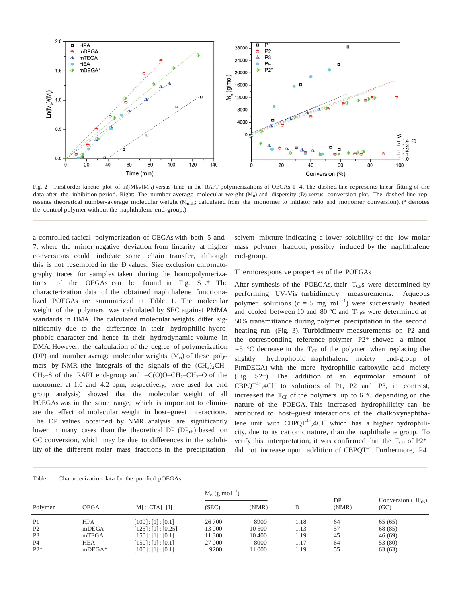

Fig. 2 First order kinetic plot of  $ln([M]_0/[M]_t)$  versus time in the RAFT polymerizations of OEGAs 1–4. The dashed line represents linear fitting of the data after the inhibition period. Right: The number-average molecular weight  $(M_n)$  and dispersity  $(D)$  versus conversion plot. The dashed line represents theoretical number-average molecular weight  $(M_{n,th}$ ; calculated from the monomer to initiator ratio and monomer conversion). (\* denotes the control polymer without the naphthalene end-group.)

a controlled radical polymerization of OEGAs with both 5 and 7, where the minor negative deviation from linearity at higher conversions could indicate some chain transfer, although this is not resembled in the Đ values. Size exclusion chromatography traces for samples taken during the homopolymerizations of the OEGAs can be found in Fig. S1.† The characterization data of the obtained naphthalene functionalized POEGAs are summarized in Table 1. The molecular weight of the polymers was calculated by SEC against PMMA standards in DMA. The calculated molecular weights differ significantly due to the difference in their hydrophilic–hydrophobic character and hence in their hydrodynamic volume in DMA. However, the calculation of the degree of polymerization (DP) and number average molecular weights  $(M_n)$  of these polymers by NMR (the integrals of the signals of the  $(CH_3)_2CH-$ CH<sub>2</sub>–S of the RAFT end-group and –C(O)O–CH<sub>2</sub>–CH<sub>2</sub>–O of the monomer at 1.0 and 4.2 ppm, respectively, were used for end group analysis) showed that the molecular weight of all POEGAs was in the same range, which is important to eliminate the effect of molecular weight in host–guest interactions. The DP values obtained by NMR analysis are significantly lower in many cases than the theoretical DP  $(DP_{th})$  based on GC conversion, which may be due to differences in the solubility of the different molar mass fractions in the precipitation

solvent mixture indicating a lower solubility of the low molar mass polymer fraction, possibly induced by the naphthalene end-group.

#### Thermoresponsive properties of the POEGAs

After synthesis of the POEGAs, their  $T_{CP}$ s were determined by performing UV-Vis turbidimetry measurements. Aqueous polymer solutions ( $c = 5$  mg mL<sup>-1</sup>) were successively heated and cooled between 10 and 80  $^{\circ}$ C and T<sub>CP</sub>s were determined at 50% transmittance during polymer precipitation in the second heating run (Fig. 3). Turbidimetry measurements on P2 and the corresponding reference polymer P2\* showed a minor  $~\sim$ 5 °C decrease in the T<sub>CP</sub> of the polymer when replacing the slightly hydrophobic naphthalene moiety end-group of P(mDEGA) with the more hydrophilic carboxylic acid moiety (Fig. S2†). The addition of an equimolar amount of CBPQT4+,4Cl<sup>−</sup> to solutions of P1, P2 and P3, in contrast, increased the  $T_{CP}$  of the polymers up to 6 °C depending on the nature of the POEGA. This increased hydrophilicity can be attributed to host–guest interactions of the dialkoxynaphthalene unit with CBPQT4+,4Cl<sup>−</sup> which has a higher hydrophilicity, due to its cationic nature, than the naphthalene group. To verify this interpretation, it was confirmed that the  $T_{CP}$  of  $P2^*$ did not increase upon addition of CBPQT<sup>4+</sup>. Furthermore, P4

|  |  | Table 1 Characterization data for the purified pOEGAs |  |  |  |  |
|--|--|-------------------------------------------------------|--|--|--|--|
|--|--|-------------------------------------------------------|--|--|--|--|

| Polymer        |             |                    | $M_n$ (g mol <sup>-1</sup> ) |        |      |             |                                |
|----------------|-------------|--------------------|------------------------------|--------|------|-------------|--------------------------------|
|                | <b>OEGA</b> | [M]: [CTA]: [I]    | (SEC)                        | (NMR)  | Ð    | DP<br>(NMR) | Conversion $(DP_{th})$<br>(GC) |
| P <sub>1</sub> | <b>HPA</b>  | [100]: [1]: [0.1]  | 26 700                       | 8900   | 1.18 | 64          | 65(65)                         |
| P <sub>2</sub> | mDEGA       | [125]: [1]: [0.25] | 13 000                       | 10 500 | 1.13 | 57          | 68 (85)                        |
| P <sub>3</sub> | mTEGA       | [150]: [1]: [0.1]  | 11 300                       | 10 400 | 1.19 | 45          | 46(69)                         |
| <b>P4</b>      | <b>HEA</b>  | [150]: [1]: [0.1]  | 27 000                       | 8000   | 1.17 | 64          | 53 (80)                        |
| $P2*$          | $mDEGA*$    | [100]: [1]: [0.1]  | 9200                         | 11 000 | 1.19 | 55          | 63 (63)                        |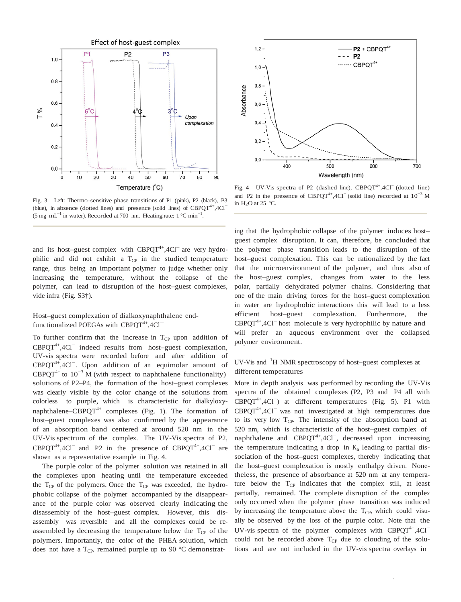

Fig. 3 Left: Thermo-sensitive phase transitions of P1 (pink), P2 (black), P3 (blue), in absence (dotted lines) and presence (solid lines) of  $CBPQT^{4+}$ ,  $4CI^-$ (5 mg mL<sup>-1</sup> in water). Recorded at 700 nm. Heating rate:  $1 \text{ °C min}^{-1}$ .

and its host–guest complex with CBPQT<sup>4+</sup>,4Cl<sup>−</sup> are very hydrophilic and did not exhibit a  $T_{CP}$  in the studied temperature range, thus being an important polymer to judge whether only increasing the temperature, without the collapse of the polymer, can lead to disruption of the host–guest complexes, vide infra (Fig. S3†).

Host–guest complexation of dialkoxynaphthalene endfunctionalized POEGAs with CBPQT<sup>4+</sup>,4Cl<sup>-</sup>

To further confirm that the increase in  $T_{CP}$  upon addition of CBPQT4+,4Cl<sup>−</sup> indeed results from host–guest complexation, UV-vis spectra were recorded before and after addition of CBPQT4+,4Cl<sup>−</sup> . Upon addition of an equimolar amount of CBPQT<sup>4+</sup> to  $10^{-3}$  M (with respect to naphthalene functionality) solutions of P2–P4, the formation of the host–guest complexes was clearly visible by the color change of the solutions from colorless to purple, which is characteristic for dialkyloxynaphthalene–CBPQT<sup>4+</sup> complexes (Fig. 1). The formation of host–guest complexes was also confirmed by the appearance of an absorption band centered at around 520 nm in the UV-Vis spectrum of the complex. The UV-Vis spectra of P2,  $CBPQT^{4+}, 4CI^-$  and P2 in the presence of  $CBPQT^{4+}, 4CI^-$  are shown as a representative example in Fig. 4.

The purple color of the polymer solution was retained in all the complexes upon heating until the temperature exceeded the  $T_{CP}$  of the polymers. Once the  $T_{CP}$  was exceeded, the hydrophobic collapse of the polymer accompanied by the disappearance of the purple color was observed clearly indicating the disassembly of the host–guest complex. However, this disassembly was reversible and all the complexes could be reassembled by decreasing the temperature below the  $T_{CP}$  of the polymers. Importantly, the color of the PHEA solution, which does not have a  $T_{CP}$ , remained purple up to 90 °C demonstrat-



Fig. 4 UV-Vis spectra of P2 (dashed line), CBPQT<sup>4+</sup>,4Cl<sup>−</sup> (dotted line) and P2 in the presence of CBPQT<sup>4+</sup>,4Cl<sup> $-$ </sup> (solid line) recorded at  $10^{-3}$  M in H<sub>2</sub>O at 25  $^{\circ}$ C.

ing that the hydrophobic collapse of the polymer induces host– guest complex disruption. It can, therefore, be concluded that the polymer phase transition leads to the disruption of the host–guest complexation. This can be rationalized by the fact that the microenvironment of the polymer, and thus also of the host–guest complex, changes from water to the less polar, partially dehydrated polymer chains. Considering that one of the main driving forces for the host–guest complexation in water are hydrophobic interactions this will lead to a less efficient host–guest complexation. Furthermore, the  $CBPQT^{4+}$ ,4Cl<sup>−</sup> host molecule is very hydrophilic by nature and will prefer an aqueous environment over the collapsed polymer environment.

### UV-Vis and <sup>1</sup>H NMR spectroscopy of host-guest complexes at different temperatures

More in depth analysis was performed by recording the UV-Vis spectra of the obtained complexes (P2, P3 and P4 all with CBPQT4+,4Cl<sup>−</sup> ) at different temperatures (Fig. 5). P1 with CBPQT4+,4Cl<sup>−</sup> was not investigated at high temperatures due to its very low  $T_{CP}$ . The intensity of the absorption band at 520 nm, which is characteristic of the host–guest complex of naphthalene and CBPQT<sup>4+</sup>,4Cl<sup>-</sup>, decreased upon increasing the temperature indicating a drop in  $K_a$  leading to partial dissociation of the host–guest complexes, thereby indicating that the host–guest complexation is mostly enthalpy driven. Nonetheless, the presence of absorbance at 520 nm at any temperature below the  $T_{CP}$  indicates that the complex still, at least partially, remained. The complete disruption of the complex only occurred when the polymer phase transition was induced by increasing the temperature above the  $T_{CP}$ , which could visually be observed by the loss of the purple color. Note that the UV-vis spectra of the polymer complexes with  $CBPQT^{4+}$ ,4Cl<sup>−</sup> could not be recorded above  $T_{CP}$  due to clouding of the solutions and are not included in the UV-vis spectra overlays in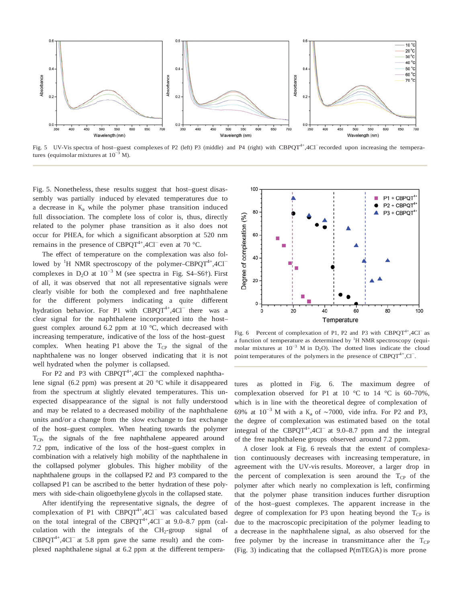

Fig. 5 UV-Vis spectra of host–guest complexes of P2 (left) P3 (middle) and P4 (right) with CBPQT<sup>4+</sup>,4Cl<sup>−</sup>recorded upon increasing the temperatures (equimolar mixtures at  $10^{-3}$  M).

Fig. 5. Nonetheless, these results suggest that host–guest disassembly was partially induced by elevated temperatures due to a decrease in  $K_a$  while the polymer phase transition induced full dissociation. The complete loss of color is, thus, directly related to the polymer phase transition as it also does not occur for PHEA, for which a significant absorption at 520 nm remains in the presence of CBPQT<sup>4+</sup>,4Cl<sup>−</sup> even at 70 °C.

The effect of temperature on the complexation was also followed by <sup>1</sup>H NMR spectroscopy of the polymer–CBPQT<sup>4+</sup>,4Cl<sup>-</sup> complexes in D<sub>2</sub>O at  $10^{-3}$  M (see spectra in Fig. S4–S6†). First of all, it was observed that not all representative signals were clearly visible for both the complexed and free naphthalene for the different polymers indicating a quite different hydration behavior. For P1 with CBPQT<sup>4+</sup>,4Cl<sup>−</sup> there was a clear signal for the naphthalene incorporated into the host– guest complex around 6.2 ppm at 10 °C, which decreased with increasing temperature, indicative of the loss of the host–guest complex. When heating P1 above the  $T_{CP}$  the signal of the naphthalene was no longer observed indicating that it is not well hydrated when the polymer is collapsed.

For P2 and P3 with  $CBPQT^{4+}$ ,4Cl<sup> $-$ </sup> the complexed naphthalene signal (6.2 ppm) was present at 20 °C while it disappeared from the spectrum at slightly elevated temperatures. This unexpected disappearance of the signal is not fully understood and may be related to a decreased mobility of the naphthalene units and/or a change from the slow exchange to fast exchange of the host–guest complex. When heating towards the polymer T<sub>CP</sub>, the signals of the free naphthalene appeared around 7.2 ppm, indicative of the loss of the host–guest complex in combination with a relatively high mobility of the naphthalene in the collapsed polymer globules. This higher mobility of the naphthalene groups in the collapsed P2 and P3 compared to the collapsed P1 can be ascribed to the better hydration of these polymers with side-chain oligoethylene glycols in the collapsed state.

After identifying the representative signals, the degree of complexation of P1 with CBPQT<sup>4+</sup>,4Cl<sup>−</sup> was calculated based on the total integral of the CBPQT<sup>4+</sup>,4Cl<sup>−</sup> at 9.0–8.7 ppm (calculation with the integrals of the  $CH_2$ -group signal of  $CBPQT^{4+}$ ,4Cl<sup>−</sup> at 5.8 ppm gave the same result) and the complexed naphthalene signal at 6.2 ppm at the different tempera-



Fig. 6 Percent of complexation of P1, P2 and P3 with  $CBPQT^{4+}$ ,4Cl<sup>-</sup> as a function of temperature as determined by  ${}^{1}$ H NMR spectroscopy (equimolar mixtures at  $10^{-3}$  M in D<sub>2</sub>O). The dotted lines indicate the cloud point temperatures of the polymers in the presence of CBPQT<sup>4+</sup>,Cl<sup>-</sup>.

tures as plotted in Fig. 6. The maximum degree of complexation observed for P1 at 10  $\degree$ C to 14  $\degree$ C is 60–70%, which is in line with the theoretical degree of complexation of 69% at  $10^{-3}$  M with a K<sub>a</sub> of ~7000, vide infra. For P2 and P3, the degree of complexation was estimated based on the total integral of the  $CBPQT^{4+}$ ,  $4CI^-$  at 9.0–8.7 ppm and the integral of the free naphthalene groups observed around 7.2 ppm.

A closer look at Fig. 6 reveals that the extent of complexation continuously decreases with increasing temperature, in agreement with the UV-vis results. Moreover, a larger drop in the percent of complexation is seen around the  $T_{CP}$  of the polymer after which nearly no complexation is left, confirming that the polymer phase transition induces further disruption of the host–guest complexes. The apparent increase in the degree of complexation for P3 upon heating beyond the  $T_{CP}$  is due to the macroscopic precipitation of the polymer leading to a decrease in the naphthalene signal, as also observed for the free polymer by the increase in transmittance after the  $T_{CP}$ (Fig. 3) indicating that the collapsed P(mTEGA) is more prone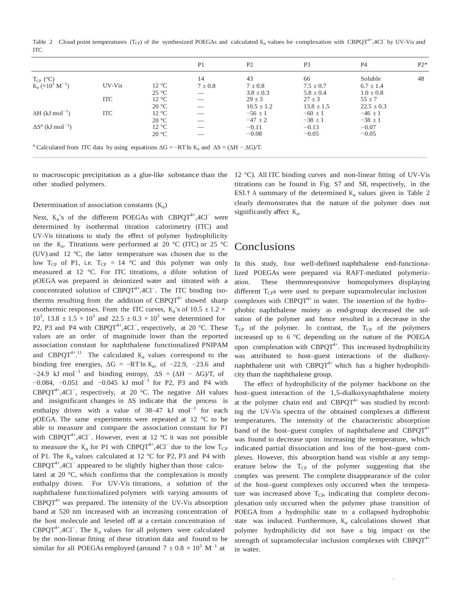Table 2 Cloud point temperatures (T<sub>CP</sub>) of the synthesized POEGAs and calculated K<sub>a</sub> values for complexation with CBPQT<sup>4+</sup>,4Cl<sup>-</sup> by UV-Vis and ITC

|                                                                                                                              |            |                | P <sub>1</sub> | P <sub>2</sub> | P <sub>3</sub> | P <sub>4</sub> | $P2*$ |
|------------------------------------------------------------------------------------------------------------------------------|------------|----------------|----------------|----------------|----------------|----------------|-------|
| $T_{CP}$ (°C)                                                                                                                |            |                | 14             | 43             | 66             | Soluble        | 48    |
| $K_a$ (×10 <sup>3</sup> M <sup>-1</sup> )                                                                                    | UV-Vis     | 12 °C          | $7 \pm 0.8$    | $7 \pm 0.8$    | $7.5 \pm 0.7$  | $6.7 \pm 1.4$  |       |
|                                                                                                                              |            | $25^{\circ}$ C |                | $3.8 \pm 0.3$  | $5.8 \pm 0.4$  | $1.0 \pm 0.8$  |       |
|                                                                                                                              | <b>ITC</b> | $12^{\circ}$ C |                | $29 \pm 3$     | $27 \pm 3$     | $55 \pm 7$     |       |
|                                                                                                                              |            | 20 °C          |                | $10.5 \pm 1.2$ | $13.8 \pm 1.5$ | $22.5 \pm 0.3$ |       |
| $\Delta H$ (kJ mol <sup>-1</sup> )                                                                                           | <b>ITC</b> | 12 °C          |                | $-56 \pm 1$    | $-60 \pm 1$    | $-46 \pm 1$    |       |
|                                                                                                                              |            | $20^{\circ}$ C |                | $-47 \pm 2$    | $-38 \pm 1$    | $-38 \pm 1$    |       |
| $\Delta S^a$ (kJ mol <sup>-1</sup> )                                                                                         |            | 12 °C          |                | $-0.11$        | $-0.13$        | $-0.07$        |       |
|                                                                                                                              |            | $20^{\circ}$ C |                | $-0.08$        | $-0.05$        | $-0.05$        |       |
| <sup>a</sup> Calculated from ITC data by using equations $\Delta G = -RT \ln K_a$ and $\Delta S = (\Delta H - \Delta G)/T$ . |            |                |                |                |                |                |       |

to macroscopic precipitation as a glue-like substance than the other studied polymers.

#### Determination of association constants  $(K_a)$

Next, K<sub>a</sub>'s of the different POEGAs with CBPQT<sup>4+</sup>,4Cl<sup>−</sup> were determined by isothermal titration calorimetry (ITC) and UV-Vis titrations to study the effect of polymer hydrophilicity on the K<sub>a</sub>. Titrations were performed at 20 °C (ITC) or 25 °C (UV) and 12 °C, the latter temperature was chosen due to the low T<sub>CP</sub> of P1, i.e. T<sub>CP</sub> = 14 °C and this polymer was only measured at 12 °C. For ITC titrations, a dilute solution of pOEGA was prepared in deionized water and titrated with a concentrated solution of CBPQT<sup>4+</sup>,4Cl<sup>−</sup>. The ITC binding isotherms resulting from the addition of  $CBPQT^{4+}$  showed sharp exothermic responses. From the ITC curves,  $K_a$ 's of  $10.5 \pm 1.2 \times$  $10^3$ ,  $13.8 \pm 1.5 \times 10^3$  and  $22.5 \pm 0.3 \times 10^3$  were determined for P2, P3 and P4 with CBPQT<sup>4+</sup>,4Cl<sup>-</sup>, respectively, at 20 °C. These values are an order of magnitude lower than the reported association constant for naphthalene functionalized PNIPAM and CBPQT<sup>4+ 11</sup> The calculated  $K_a$  values correspond to the binding free energies,  $\Delta G = -RT \ln K_a$ , of -22.9, -23.6 and  $-24.9$  kJ mol<sup>-1</sup> and binding entropy,  $\Delta S = (\Delta H - \Delta G)/T$ , of −0.084, −0.051 and −0.045 kJ mol<sup>−</sup><sup>1</sup> for P2, P3 and P4 with CBPQT<sup>4+</sup>,4Cl<sup>-</sup>, respectively, at 20 °C. The negative  $\Delta H$  values and insignificant changes in  $\Delta S$  indicate that the process is enthalpy driven with a value of  $38-47$  kJ mol<sup>-1</sup> for each pOEGA. The same experiments were repeated at 12 °C to be able to measure and compare the association constant for P1 with CBPQT<sup>4+</sup>,4Cl<sup>-</sup>. However, even at 12 °C it was not possible to measure the K<sub>a</sub> for P1 with CBPQT<sup>4+</sup>,4Cl<sup>−</sup> due to the low T<sub>CP</sub> of P1. The  $K_a$  values calculated at 12 °C for P2, P3 and P4 with CBPQT<sup>4+</sup>,4Cl<sup>−</sup> appeared to be slightly higher than those calculated at 20 °C, which confirms that the complexation is mostly enthalpy driven. For UV-Vis titrations, a solution of the naphthalene functionalized polymers with varying amounts of  $CBPOT<sup>4+</sup>$  was prepared. The intensity of the UV-Vis absorption band at 520 nm increased with an increasing concentration of the host molecule and leveled off at a certain concentration of  $CBPQT^{4+}, 4CI^-$ . The  $K_a$  values for all polymers were calculated by the non-linear fitting of these titration data and found to be similar for all POEGAs employed (around  $7 \pm 0.8 \times 10^3$  M<sup>-1</sup> at

12 °C). All ITC binding curves and non-linear fitting of UV-Vis titrations can be found in Fig. S7 and S8, respectively, in the ESI.† A summary of the determined  $K_a$  values given in Table 2 clearly demonstrates that the nature of the polymer does not significantly affect K<sub>a</sub>.

### Conclusions

In this study, four well-defined naphthalene end-functionalized POEGAs were prepared via RAFT-mediated polymerization. These thermoresponsive homopolymers displaying different  $T_{CP}$ s were used to prepare supramolecular inclusion complexes with  $CBPQT^{4+}$  in water. The insertion of the hydrophobic naphthalene moiety as end-group decreased the solvation of the polymer and hence resulted in a decrease in the  $T_{CP}$  of the polymer. In contrast, the  $T_{CP}$  of the polymers increased up to 6 °C depending on the nature of the POEGA upon complexation with CBPQT<sup>4+</sup>. This increased hydrophilicity was attributed to host–guest interactions of the dialkoxynaphthalene unit with  $CBPQT^{4+}$  which has a higher hydrophilicity than the naphthalene group.

The effect of hydrophilicity of the polymer backbone on the host–guest interaction of the 1,5-dialkoxynaphthalene moiety at the polymer chain end and  $CBPQT<sup>4+</sup>$  was studied by recording the UV-Vis spectra of the obtained complexes at different temperatures. The intensity of the characteristic absorption band of the host–guest complex of naphthalene and  $CBPQT^{4+}$ was found to decrease upon increasing the temperature, which indicated partial dissociation and loss of the host–guest complexes. However, this absorption band was visible at any temperature below the  $T_{CP}$  of the polymer suggesting that the complex was present. The complete disappearance of the color of the host–guest complexes only occurred when the temperature was increased above  $T_{CP}$ , indicating that complete decomplexation only occurred when the polymer phase transition of POEGA from a hydrophilic state to a collapsed hydrophobic state was induced. Furthermore,  $K_a$  calculations showed that polymer hydrophilicity did not have a big impact on the strength of supramolecular inclusion complexes with  $CBPQT<sup>4+</sup>$ in water.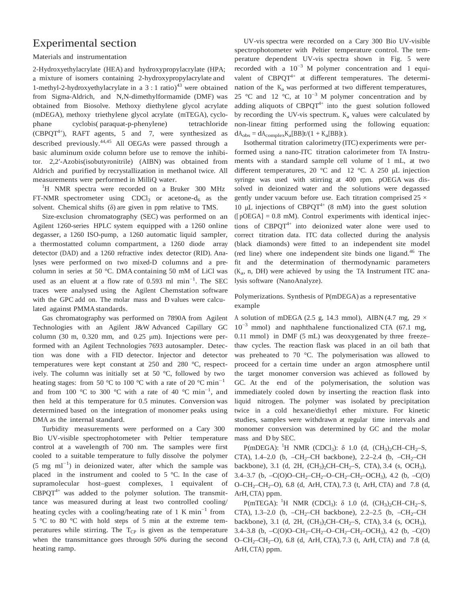# Experimental section

#### Materials and instrumentation

2-Hydroxyethylacrylate (HEA) and hydroxypropylacrylate (HPA; a mixture of isomers containing 2-hydroxypropylacrylate and 1-methyl-2-hydroxyethylacrylate in a 3 : 1 ratio)<sup>43</sup> were obtained from Sigma-Aldrich, and N,N-dimethylformamide (DMF) was obtained from Biosolve. Methoxy diethylene glycol acrylate (mDEGA), methoxy triethylene glycol acrylate (mTEGA), cyclophane cyclobis( paraquat-p-phenylene) tetrachloride  $(CBPQT<sup>4+</sup>)$ , RAFT agents, 5 and 7, were synthesized as described previously. 44,45 All OEGAs were passed through a basic aluminum oxide column before use to remove the inhibitor. 2,2′-Azobis(isobutyronitrile) (AIBN) was obtained from Aldrich and purified by recrystallization in methanol twice. All measurements were performed in MilliQ water.

<sup>1</sup>H NMR spectra were recorded on a Bruker 300 MHz FT-NMR spectrometer using CDCl<sub>3</sub> or acetone- $d_6$  as the solvent. Chemical shifts (δ) are given in ppm relative to TMS.

Size-exclusion chromatography (SEC) was performed on an Agilent 1260-series HPLC system equipped with a 1260 online degasser, a 1260 ISO-pump, a 1260 automatic liquid sampler, a thermostatted column compartment, a 1260 diode array detector (DAD) and a 1260 refractive index detector (RID). Analyses were performed on two mixed-D columns and a precolumn in series at 50 °C. DMA containing 50 mM of LiCl was used as an eluent at a flow rate of 0.593 ml min<sup>−</sup><sup>1</sup> . The SEC traces were analysed using the Agilent Chemstation software with the GPC add on. The molar mass and Đ values were calculated against PMMA standards.

Gas chromatography was performed on 7890A from Agilent Technologies with an Agilent J&W Advanced Capillary GC column (30 m, 0.320 mm, and 0.25 μm). Injections were performed with an Agilent Technologies 7693 autosampler. Detection was done with a FID detector. Injector and detector temperatures were kept constant at 250 and 280 °C, respectively. The column was initially set at 50 °C, followed by two heating stages: from 50 °C to 100 °C with a rate of 20 °C min<sup>-1</sup> and from 100 °C to 300 °C with a rate of 40 °C min<sup>-1</sup>, and then held at this temperature for 0.5 minutes. Conversion was determined based on the integration of monomer peaks using DMA as the internal standard.

Turbidity measurements were performed on a Cary 300 Bio UV-visible spectrophotometer with Peltier temperature control at a wavelength of 700 nm. The samples were first cooled to a suitable temperature to fully dissolve the polymer  $(5 \text{ mg } \text{ml}^{-1})$  in deionized water, after which the sample was placed in the instrument and cooled to 5 °C. In the case of supramolecular host–guest complexes, 1 equivalent of  $CBPQT^{4+}$  was added to the polymer solution. The transmittance was measured during at least two controlled cooling/ heating cycles with a cooling/heating rate of 1 K min<sup>-1</sup> from 5 °C to 80 °C with hold steps of 5 min at the extreme temperatures while stirring. The  $T_{CP}$  is given as the temperature when the transmittance goes through 50% during the second heating ramp.

UV-vis spectra were recorded on a Cary 300 Bio UV-visible spectrophotometer with Peltier temperature control. The temperature dependent UV-vis spectra shown in Fig. 5 were recorded with a  $10^{-3}$  M polymer concentration and 1 equivalent of  $CBPOT^{4+}$  at different temperatures. The determination of the  $K_a$  was performed at two different temperatures, 25 °C and 12 °C, at 10<sup>−</sup>3 M polymer concentration and by adding aliquots of  $CBPQT^{4+}$  into the guest solution followed by recording the UV-vis spectrum.  $K_a$  values were calculated by non-linear fitting performed using the following equation:  $dA_{obs} = dA_{complex}K_a[BB]t/(1 + K_a[BB]t).$ 

Isothermal titration calorimetry (ITC) experiments were performed using a nano-ITC titration calorimeter from TA Instruments with a standard sample cell volume of 1 mL, at two different temperatures, 20 °C and 12 °C. <sup>A</sup> 250 μL injection syringe was used with stirring at 400 rpm. pOEGA was dissolved in deionized water and the solutions were degassed gently under vacuum before use. Each titration comprised  $25 \times$ 10 μL injections of CBPQT<sup>4+</sup> (8 mM) into the guest solution  $([pOEGA] = 0.8$  mM). Control experiments with identical injections of CBPQT<sup>4+</sup> into deionized water alone were used to correct titration data. ITC data collected during the analysis (black diamonds) were fitted to an independent site model (red line) where one independent site binds one ligand.<sup>46</sup> The fit and the determination of thermodynamic parameters  $(K_a, n, DH)$  were achieved by using the TA Instrument ITC analysis software (NanoAnalyze).

#### Polymerizations. Synthesis of P(mDEGA) as a representative example

A solution of mDEGA (2.5 g, 14.3 mmol), AIBN (4.7 mg, 29  $\times$  $10^{-3}$  mmol) and naphthalene functionalized CTA (67.1 mg, 0.11 mmol) in DMF (5 mL) was deoxygenated by three freeze– thaw cycles. The reaction flask was placed in an oil bath that was preheated to 70 °C. The polymerisation was allowed to proceed for a certain time under an argon atmosphere until the target monomer conversion was achieved as followed by GC. At the end of the polymerisation, the solution was immediately cooled down by inserting the reaction flask into liquid nitrogen. The polymer was isolated by precipitation twice in a cold hexane/diethyl ether mixture. For kinetic studies, samples were withdrawn at regular time intervals and monomer conversion was determined by GC and the molar mass and Đ by SEC.

P(mDEGA): <sup>1</sup>H NMR (CDCl<sub>3</sub>): δ 1.0 (d, (CH<sub>3</sub>)<sub>2</sub>CH–CH<sub>2</sub>–S, CTA), 1.4–2.0 (b, –CH<sub>2</sub>–CH backbone), 2.2–2.4 (b, –CH<sub>2</sub>–CH backbone), 3.1 (d, 2H,  $(CH_3)_2CH-CH_2-S$ , CTA), 3.4 (s, OCH<sub>3</sub>), 3.4–3.7 (b,  $-C(O)O-CH_2-CH_2-O-CH_2-CH_2-OCH_3$ ), 4.2 (b,  $-C(O)$ O–CH<sub>2</sub>–CH<sub>2</sub>–O), 6.8 (d, ArH, CTA), 7.3 (t, ArH, CTA) and 7.8 (d, ArH, CTA) ppm.

P(mTEGA): <sup>1</sup>H NMR (CDCl<sub>3</sub>): δ 1.0 (d, (CH<sub>3</sub>)<sub>2</sub>CH–CH<sub>2</sub>–S, CTA), 1.3–2.0 (b, –CH<sub>2</sub>–CH backbone), 2.2–2.5 (b, –CH<sub>2</sub>–CH backbone), 3.1 (d, 2H,  $(CH_3)$ , CH–CH<sub>2</sub>–S, CTA), 3.4 (s, OCH<sub>3</sub>), 3.4–3.8 (b,  $-C(O)O-CH_2-CH_2-O-CH_2-CH_2-OCH_3$ ), 4.2 (b,  $-C(O)$ O–CH<sub>2</sub>–CH<sub>2</sub>–O), 6.8 (d, ArH, CTA), 7.3 (t, ArH, CTA) and 7.8 (d, ArH, CTA) ppm.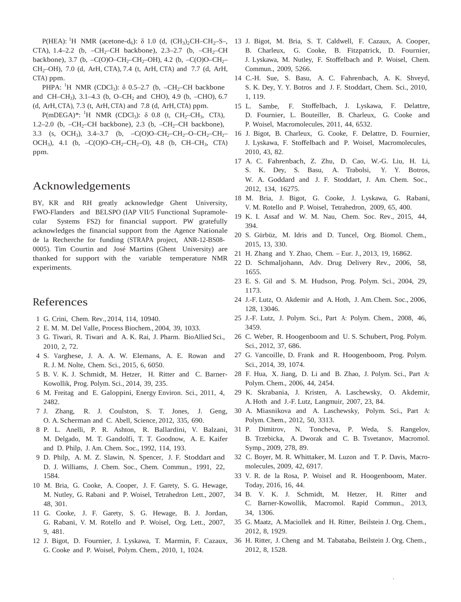CTA),  $1.4-2.2$  (b,  $-CH_2-CH$  backbone),  $2.3-2.7$  (b,  $-CH_2-CH$ backbone), 3.7 (b,  $-C(O)O-CH_2-CH_2-OH$ ), 4.2 (b,  $-C(O)O-CH_2-$ CH2–OH), 7.0 (d, ArH, CTA), 7.4 (t, ArH, CTA) and 7.7 (d, ArH, CTA) ppm.

PHPA:  ${}^{1}H$  NMR (CDCl<sub>3</sub>):  $\delta$  0.5–2.7 (b, –CH<sub>2</sub>–CH backbone and CH–CH<sub>3</sub>), 3.1–4.3 (b, O–CH<sub>2</sub> and CHO), 4.9 (b, –CHO), 6.7 (d, ArH, CTA), 7.3 (t, ArH, CTA) and 7.8 (d, ArH, CTA) ppm.

 $P(mDEGA)*:$ <sup>1</sup>H NMR (CDCl<sub>3</sub>): δ 0.8 (t, CH<sub>2</sub>–CH<sub>3</sub>, CTA), 1.2–2.0 (b,  $-CH_2$ –CH backbone), 2.3 (b,  $-CH_2$ –CH backbone), 3.3 (s, OCH<sub>3</sub>), 3.4–3.7 (b,  $-C(O)O-CH_2-CH_2-O-CH_2-CH_2-$ OCH<sub>3</sub>), 4.1 (b,  $-C(O)O-CH_2-CH_2-O$ ), 4.8 (b, CH–CH<sub>3</sub>, CTA) ppm.

# Acknowledgements

BY, KR and RH greatly acknowledge Ghent University, FWO-Flanders and BELSPO (IAP VII/5 Functional Supramolecular Systems FS2) for financial support. PW gratefully acknowledges the financial support from the Agence Nationale de la Recherche for funding (STRAPA project, ANR-12-BS08- 0005). Tim Courtin and José Martins (Ghent University) are thanked for support with the variable temperature NMR experiments.

### References

- 1 G. Crini, Chem. Rev., 2014, 114, 10940.
- 2 E. M. M. Del Valle, Process Biochem., 2004, 39, 1033.
- 3 G. Tiwari, R. Tiwari and A. K. Rai, J. Pharm. BioAllied Sci., 2010, 2, 72.
- 4 S. Varghese, J. A. A. W. Elemans, A. E. Rowan and R. J. M. Nolte, Chem. Sci., 2015, 6, 6050.
- 5 B. V. K. J. Schmidt, M. Hetzer, H. Ritter and C. Barner-Kowollik, Prog. Polym. Sci., 2014, 39, 235.
- 6 M. Freitag and E. Galoppini, Energy Environ. Sci., 2011, 4, 2482.
- 7 J. Zhang, R. J. Coulston, S. T. Jones, J. Geng, O. A. Scherman and C. Abell, Science, 2012, 335, 690.
- 8 P. L. Anelli, P. R. Ashton, R. Ballardini, V. Balzani, M. Delgado, M. T. Gandolfi, T. T. Goodnow, A. E. Kaifer and D. Philp, J. Am. Chem. Soc., 1992, 114, 193.
- 9 D. Philp, A. M. Z. Slawin, N. Spencer, J. F. Stoddart and D. J. Williams, J. Chem. Soc., Chem. Commun., 1991, 22, 1584.
- 10 M. Bria, G. Cooke, A. Cooper, J. F. Garety, S. G. Hewage, M. Nutley, G. Rabani and P. Woisel, Tetrahedron Lett., 2007, 48, 301.
- 11 G. Cooke, J. F. Garety, S. G. Hewage, B. J. Jordan, G. Rabani, V. M. Rotello and P. Woisel, Org. Lett., 2007, 9, 481.
- 12 J. Bigot, D. Fournier, J. Lyskawa, T. Marmin, F. Cazaux, G. Cooke and P. Woisel, Polym. Chem., 2010, 1, 1024.
- $P(HEA):$  <sup>1</sup>H NMR (acetone-d<sub>6</sub>): δ 1.0 (d,  $(CH_3)_2CH-CH_2-S-$ , 13 J. Bigot, M. Bria, S. T. Caldwell, F. Cazaux, A. Cooper, B. Charleux, G. Cooke, B. Fitzpatrick, D. Fournier, J. Lyskawa, M. Nutley, F. Stoffelbach and P. Woisel, Chem. Commun., 2009, 5266.
	- 14 C.-H. Sue, S. Basu, A. C. Fahrenbach, A. K. Shveyd, S. K. Dey, Y. Y. Botros and J. F. Stoddart, Chem. Sci., 2010, 1, 119.
	- 15 L. Sambe, F. Stoffelbach, J. Lyskawa, F. Delattre, D. Fournier, L. Bouteiller, B. Charleux, G. Cooke and P. Woisel, Macromolecules, 2011, 44, 6532.
	- 16 J. Bigot, B. Charleux, G. Cooke, F. Delattre, D. Fournier, J. Lyskawa, F. Stoffelbach and P. Woisel, Macromolecules, 2010, 43, 82.
	- 17 A. C. Fahrenbach, Z. Zhu, D. Cao, W.-G. Liu, H. Li, S. K. Dey, S. Basu, A. Trabolsi, Y. Y. Botros, W. A. Goddard and J. F. Stoddart, J. Am. Chem. Soc., 2012, 134, 16275.
	- 18 M. Bria, J. Bigot, G. Cooke, J. Lyskawa, G. Rabani, V. M. Rotello and P. Woisel, Tetrahedron, 2009, 65, 400.
	- 19 K. I. Assaf and W. M. Nau, Chem. Soc. Rev., 2015, 44, 394.
	- 20 S. Gürbüz, M. Idris and D. Tuncel, Org. Biomol. Chem., 2015, 13, 330.
	- 21 H. Zhang and Y. Zhao, Chem. Eur. J., 2013, 19, 16862.
	- 22 D. Schmaljohann, Adv. Drug Delivery Rev., 2006, 58, 1655.
	- 23 E. S. Gil and S. M. Hudson, Prog. Polym. Sci., 2004, 29, 1173.
	- 24 J.-F. Lutz, O. Akdemir and A. Hoth, J. Am.Chem. Soc., 2006, 128, 13046.
	- 25 J.-F. Lutz, J. Polym. Sci., Part A: Polym. Chem., 2008, 46, 3459.
	- 26 C. Weber, R. Hoogenboom and U. S. Schubert, Prog. Polym. Sci., 2012, 37, 686.
	- 27 G. Vancoille, D. Frank and R. Hoogenboom, Prog. Polym. Sci., 2014, 39, 1074.
	- 28 F. Hua, X. Jiang, D. Li and B. Zhao, J. Polym. Sci., Part A: Polym. Chem., 2006, 44, 2454.
	- 29 K. Skrabania, J. Kristen, A. Laschewsky, O. Akdemir, A. Hoth and J.-F. Lutz, Langmuir, 2007, 23, 84.
	- 30 A. Miasnikova and A. Laschewsky, Polym. Sci., Part A: Polym. Chem., 2012, 50, 3313.
	- 31 P. Dimitrov, N. Toncheva, P. Weda, S. Rangelov, B. Trzebicka, A. Dworak and C. B. Tsvetanov, Macromol. Symp., 2009, 278, 89.
	- 32 C. Boyer, M. R. Whittaker, M. Luzon and T. P. Davis, Macromolecules, 2009, 42, 6917.
	- 33 V. R. de la Rosa, P. Woisel and R. Hoogenboom, Mater. Today, 2016, 16, 44.
	- 34 B. V. K. J. Schmidt, M. Hetzer, H. Ritter and C. Barner-Kowollik, Macromol. Rapid Commun., 2013, 34, 1306.
	- 35 G. Maatz, A. Maciollek and H. Ritter, Beilstein J. Org. Chem., 2012, 8, 1929.
	- 36 H. Ritter, J. Cheng and M. Tabataba, Beilstein J. Org. Chem., 2012, 8, 1528.